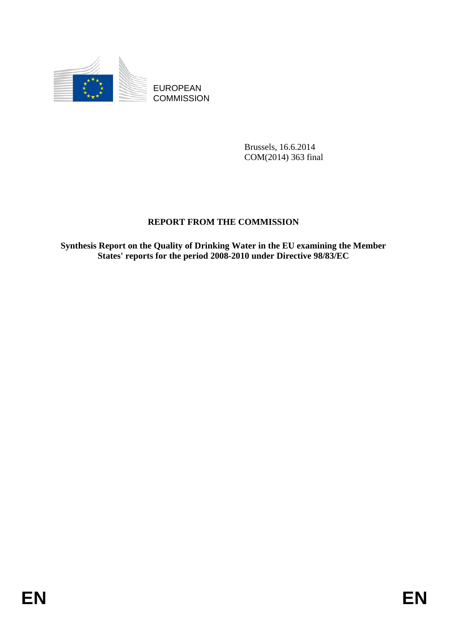

EUROPEAN **COMMISSION** 

> Brussels, 16.6.2014 COM(2014) 363 final

# **REPORT FROM THE COMMISSION**

**Synthesis Report on the Quality of Drinking Water in the EU examining the Member States' reports for the period 2008-2010 under Directive 98/83/EC**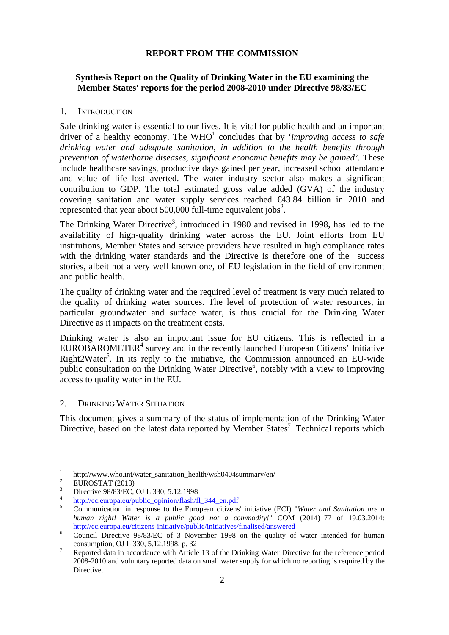## **REPORT FROM THE COMMISSION**

## **Synthesis Report on the Quality of Drinking Water in the EU examining the Member States' reports for the period 2008-2010 under Directive 98/83/EC**

### 1. INTRODUCTION

Safe drinking water is essential to our lives. It is vital for public health and an important driver of a healthy economy. The WHO<sup>1</sup> concludes that by *'improving access to safe drinking water and adequate sanitation, in addition to the health benefits through prevention of waterborne diseases, significant economic benefits may be gained'.* These include healthcare savings, productive days gained per year, increased school attendance and value of life lost averted. The water industry sector also makes a significant contribution to GDP. The total estimated gross value added (GVA) of the industry covering sanitation and water supply services reached €43.84 billion in 2010 and represented that year about  $500,000$  full-time equivalent jobs<sup>2</sup>.

The Drinking Water Directive<sup>3</sup>, introduced in 1980 and revised in 1998, has led to the availability of high-quality drinking water across the EU. Joint efforts from EU institutions, Member States and service providers have resulted in high compliance rates with the drinking water standards and the Directive is therefore one of the success stories, albeit not a very well known one, of EU legislation in the field of environment and public health.

The quality of drinking water and the required level of treatment is very much related to the quality of drinking water sources. The level of protection of water resources, in particular groundwater and surface water, is thus crucial for the Drinking Water Directive as it impacts on the treatment costs.

Drinking water is also an important issue for EU citizens. This is reflected in a  $EUROBAROMETER<sup>4</sup>$  survey and in the recently launched European Citizens' Initiative Right2Water<sup>5</sup>. In its reply to the initiative, the Commission announced an EU-wide public consultation on the Drinking Water Directive<sup>6</sup>, notably with a view to improving access to quality water in the EU.

## 2. DRINKING WATER SITUATION

This document gives a summary of the status of implementation of the Drinking Water Directive, based on the latest data reported by Member States<sup>7</sup>. Technical reports which

<sup>|&</sup>lt;br>|<br>|  $\frac{1}{2}$  http://www.who.int/water\_sanitation\_health/wsh0404summary/en/

EUROSTAT (2013)

<sup>3</sup>  $\frac{3}{4}$  Directive 98/83/EC, OJ L 330, 5.12.1998

 $\frac{4}{5}$  [http://ec.europa.eu/pub](http://ec.europa.eu/public_opinion/flash/fl_344_en.pdf)lic\_opinion/flash/fl\_344\_en.pdf

Communication in response to the European citizens' initiative (ECI) "*Water and Sanitation are a human right! Water is a public good not a commodity!*" COM (2014)177 of 19.03.2014: <http://ec.europa.eu/citizens-initiative/public/initiatives/finalised/answered> $\frac{6}{\text{Gauss}}$  Directive 0.000.07  $\text{FG}$  of 2. Navymber 1009, as the surlive of

Council Directive 98/83/EC of 3 November 1998 on the quality of water intended for human consumption, OJ L 330, 5.12.1998, p. 32<br> $\frac{7}{2}$  Reported data in accordance with Article

Reported data in accordance with Article 13 of the Drinking Water Directive for the reference period 2008-2010 and voluntary reported data on small water supply for which no reporting is required by the Directive.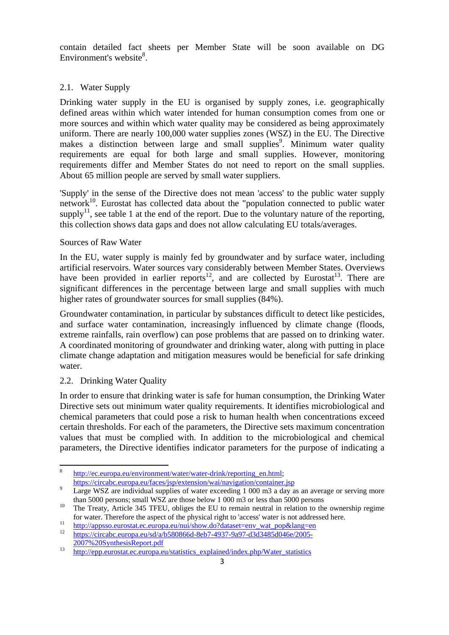contain detailed fact sheets per Member State will be soon available on DG Environment's website<sup>8</sup>.

## 2.1. Water Supply

Drinking water supply in the EU is organised by supply zones, i.e. geographically defined areas within which water intended for human consumption comes from one or more sources and within which water quality may be considered as being approximately uniform. There are nearly 100,000 water supplies zones (WSZ) in the EU. The Directive makes a distinction between large and small supplies<sup>9</sup>. Minimum water quality requirements are equal for both large and small supplies. However, monitoring requirements differ and Member States do not need to report on the small supplies. About 65 million people are served by small water suppliers.

'Supply' in the sense of the Directive does not mean 'access' to the public water supply network<sup>10</sup>. Eurostat has collected data about the "population connected to public water supply<sup>11</sup>, see table 1 at the end of the report. Due to the voluntary nature of the reporting, this collection shows data gaps and does not allow calculating EU totals/averages.

## Sources of Raw Water

In the EU, water supply is mainly fed by groundwater and by surface water, including artificial reservoirs. Water sources vary considerably between Member States. Overviews have been provided in earlier reports<sup>12</sup>, and are collected by Eurostat<sup>13</sup>. There are significant differences in the percentage between large and small supplies with much higher rates of groundwater sources for small supplies (84%).

Groundwater contamination, in particular by substances difficult to detect like pesticides, and surface water contamination, increasingly influenced by climate change (floods, extreme rainfalls, rain overflow) can pose problems that are passed on to drinking water. A coordinated monitoring of groundwater and drinking water, along with putting in place climate change adaptation and mitigation measures would be beneficial for safe drinking water.

## 2.2. Drinking Water Quality

In order to ensure that drinking water is safe for human consumption, the Drinking Water Directive sets out minimum water quality requirements. It identifies microbiological and chemical parameters that could pose a risk to human health when concentrations exceed certain thresholds. For each of the parameters, the Directive sets maximum concentration values that must be complied with. In addition to the microbiological and chemical parameters, the Directive identifies indicator parameters for the purpose of indicating a

 $\mathbf{R}$ [http://ec.europa.eu/envir](http://ec.europa.eu/environment/water/water-drink/reporting_en.html)onment/water/water-drink/reporting\_en.html; <https://circabc.europa.eu/faces/jsp/extension/wai/navigation/container.jsp>

Large WSZ are individual supplies of water exceeding 1 000 m3 a day as an average or serving more than 5000 persons; small WSZ are those below 1 000 m3 or less than 5000 persons<br><sup>10</sup> The Treaty, Article 345 TFEU, obliges the EU to remain neutral in relation to the ownership regime

[for water. Therefore the aspect of the physical right to](http://appsso.eurostat.ec.europa.eu/nui/show.do?dataset=env_wat_pop&lang=en) '[access](http://appsso.eurostat.ec.europa.eu/nui/show.do?dataset=env_wat_pop&lang=en)' [water is not address](http://appsso.eurostat.ec.europa.eu/nui/show.do?dataset=env_wat_pop&lang=en)ed here.<br> [http://appsso.eurostat.ec.europa.eu/nui/show.do?dataset=env\\_wat\\_pop&lang=en](http://appsso.eurostat.ec.europa.eu/nui/show.do?dataset=env_wat_pop&lang=en)<br>
https://circabc.europa.eu/sd/a/b580866d-8eb7-4937

[<sup>2007%20</sup>SynthesisReport.pdf](https://circabc.europa.eu/sd/a/b580866d-8eb7-4937-9a97-d3d3485d046e/2005-2007%252520synthesisreport.pdf)<br>
<sup>13</sup> [http://epp.eurostat.ec.europa.eu/statistics\\_explained/index.php/Water\\_statistics](http://epp.eurostat.ec.europa.eu/statistics_explained/index.php/water_statistics)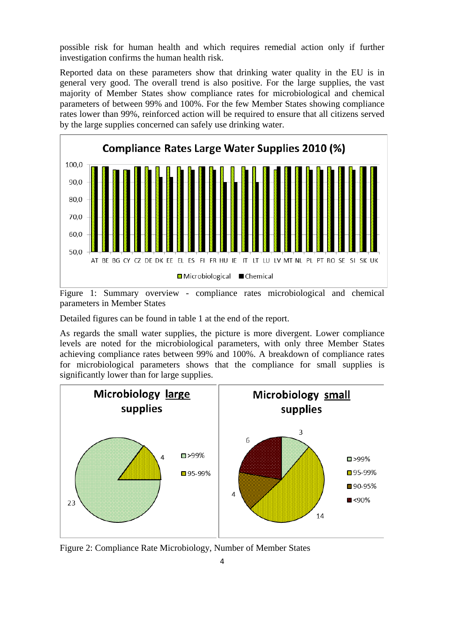possible risk for human health and which requires remedial action only if further investigation confirms the human health risk.

Reported data on these parameters show that drinking water quality in the EU is in general very good. The overall trend is also positive. For the large supplies, the vast majority of Member States show compliance rates for microbiological and chemical parameters of between 99% and 100%. For the few Member States showing compliance rates lower than 99%, reinforced action will be required to ensure that all citizens served by the large supplies concerned can safely use drinking water.



Figure 1: Summary overview - compliance rates microbiological and chemical parameters in Member States

Detailed figures can be found in table 1 at the end of the report.

As regards the small water supplies, the picture is more divergent. Lower compliance levels are noted for the microbiological parameters, with only three Member States achieving compliance rates between 99% and 100%. A breakdown of compliance rates for microbiological parameters shows that the compliance for small supplies is significantly lower than for large supplies.



Figure 2: Compliance Rate Microbiology, Number of Member States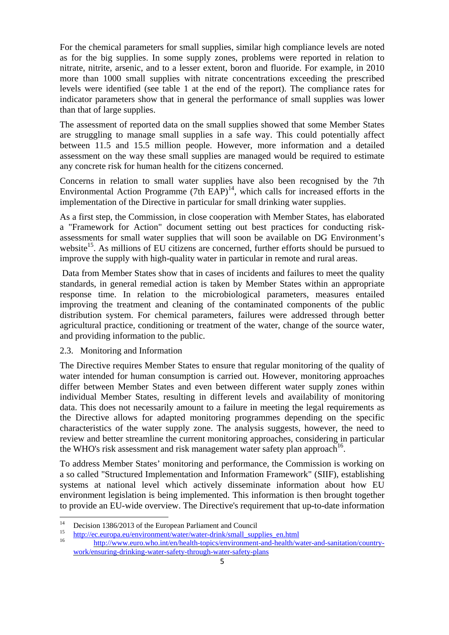For the chemical parameters for small supplies, similar high compliance levels are noted as for the big supplies. In some supply zones, problems were reported in relation to nitrate, nitrite, arsenic, and to a lesser extent, boron and fluoride. For example, in 2010 more than 1000 small supplies with nitrate concentrations exceeding the prescribed levels were identified (see table 1 at the end of the report). The compliance rates for indicator parameters show that in general the performance of small supplies was lower than that of large supplies.

The assessment of reported data on the small supplies showed that some Member States are struggling to manage small supplies in a safe way. This could potentially affect between 11.5 and 15.5 million people. However, more information and a detailed assessment on the way these small supplies are managed would be required to estimate any concrete risk for human health for the citizens concerned.

Concerns in relation to small water supplies have also been recognised by the 7th Environmental Action Programme  $(7th$  EAP)<sup>14</sup>, which calls for increased efforts in the implementation of the Directive in particular for small drinking water supplies.

As a first step, the Commission, in close cooperation with Member States, has elaborated a "Framework for Action" document setting out best practices for conducting riskassessments for small water supplies that will soon be available on DG Environment's website<sup>15</sup>. As millions of EU citizens are concerned, further efforts should be pursued to improve the supply with high-quality water in particular in remote and rural areas.

 Data from Member States show that in cases of incidents and failures to meet the quality standards, in general remedial action is taken by Member States within an appropriate response time. In relation to the microbiological parameters, measures entailed improving the treatment and cleaning of the contaminated components of the public distribution system. For chemical parameters, failures were addressed through better agricultural practice, conditioning or treatment of the water, change of the source water, and providing information to the public.

## 2.3. Monitoring and Information

The Directive requires Member States to ensure that regular monitoring of the quality of water intended for human consumption is carried out. However, monitoring approaches differ between Member States and even between different water supply zones within individual Member States, resulting in different levels and availability of monitoring data. This does not necessarily amount to a failure in meeting the legal requirements as the Directive allows for adapted monitoring programmes depending on the specific characteristics of the water supply zone. The analysis suggests, however, the need to review and better streamline the current monitoring approaches, considering in particular the WHO's risk assessment and risk management water safety plan approach<sup>16</sup>.

To address Member States' monitoring and performance, the Commission is working on a so called "Structured Implementation and Information Framework" (SIIF), establishing systems at national level which actively disseminate information about how EU environment legislation is being implemented. This information is then brought together to provide an EU-wide overview. The Directive's requirement that up-to-date information

 $14$ <sup>14</sup> Decision 1386/2013 of the European Parliament and Council<br> $\frac{15}{15}$  Here the European Merchant and the distribution of the later of the later distribution of the later of the later of the later of the later of the

<sup>15</sup> [http://](http://ec.europa.eu/environment/water/water-drink/small_supplies_en.html)ec.europa.eu/environment/water/water-drink/small\_supplies\_en.html<br>16 [http://www.euro.who.int/en/health-topics/environment-and-health/water-and-sanitation/country](http://www.euro.who.int/en/health-topics/environment-and-health/water-and-sanitation/country-work/ensuring-drinking-water-safety-through-water-safety-plans)[work/ensuring-drinking-water-safety-through-water-safety-plans](http://www.euro.who.int/en/health-topics/environment-and-health/water-and-sanitation/country-work/ensuring-drinking-water-safety-through-water-safety-plans)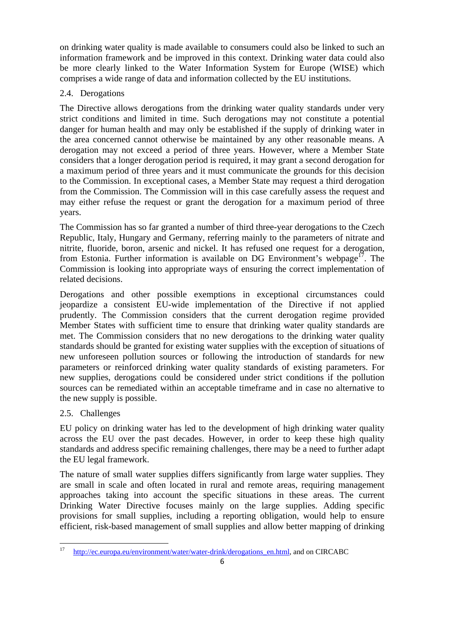on drinking water quality is made available to consumers could also be linked to such an information framework and be improved in this context. Drinking water data could also be more clearly linked to the Water Information System for Europe (WISE) which comprises a wide range of data and information collected by the EU institutions.

## 2.4. Derogations

The Directive allows derogations from the drinking water quality standards under very strict conditions and limited in time. Such derogations may not constitute a potential danger for human health and may only be established if the supply of drinking water in the area concerned cannot otherwise be maintained by any other reasonable means. A derogation may not exceed a period of three years. However, where a Member State considers that a longer derogation period is required, it may grant a second derogation for a maximum period of three years and it must communicate the grounds for this decision to the Commission. In exceptional cases, a Member State may request a third derogation from the Commission. The Commission will in this case carefully assess the request and may either refuse the request or grant the derogation for a maximum period of three years.

The Commission has so far granted a number of third three-year derogations to the Czech Republic, Italy, Hungary and Germany, referring mainly to the parameters of nitrate and nitrite, fluoride, boron, arsenic and nickel. It has refused one request for a derogation, from Estonia. Further information is available on DG Environment's webpage<sup>17</sup>. The Commission is looking into appropriate ways of ensuring the correct implementation of related decisions.

Derogations and other possible exemptions in exceptional circumstances could jeopardize a consistent EU-wide implementation of the Directive if not applied prudently. The Commission considers that the current derogation regime provided Member States with sufficient time to ensure that drinking water quality standards are met. The Commission considers that no new derogations to the drinking water quality standards should be granted for existing water supplies with the exception of situations of new unforeseen pollution sources or following the introduction of standards for new parameters or reinforced drinking water quality standards of existing parameters. For new supplies, derogations could be considered under strict conditions if the pollution sources can be remediated within an acceptable timeframe and in case no alternative to the new supply is possible.

## 2.5. Challenges

EU policy on drinking water has led to the development of high drinking water quality across the EU over the past decades. However, in order to keep these high quality standards and address specific remaining challenges, there may be a need to further adapt the EU legal framework.

The nature of small water supplies differs significantly from large water supplies. They are small in scale and often located in rural and remote areas, requiring management approaches taking into account the specific situations in these areas. The current Drinking Water Directive focuses mainly on the large supplies. Adding specific provisions for small supplies, including a reporting obligation, would help to ensure efficient, risk-based management of small supplies and allow better mapping of drinking

 $17\,$ <sup>17</sup> [http://ec.europa.eu/environment/water/water-drink/derogations\\_en.html, and on CIRCABC](http://ec.europa.eu/environment/water/water-drink/derogations_en.html)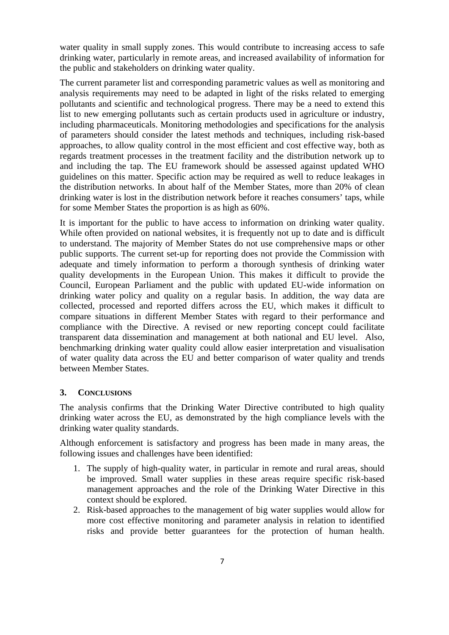water quality in small supply zones. This would contribute to increasing access to safe drinking water, particularly in remote areas, and increased availability of information for the public and stakeholders on drinking water quality.

The current parameter list and corresponding parametric values as well as monitoring and analysis requirements may need to be adapted in light of the risks related to emerging pollutants and scientific and technological progress. There may be a need to extend this list to new emerging pollutants such as certain products used in agriculture or industry, including pharmaceuticals. Monitoring methodologies and specifications for the analysis of parameters should consider the latest methods and techniques, including risk-based approaches, to allow quality control in the most efficient and cost effective way, both as regards treatment processes in the treatment facility and the distribution network up to and including the tap. The EU framework should be assessed against updated WHO guidelines on this matter. Specific action may be required as well to reduce leakages in the distribution networks. In about half of the Member States, more than 20% of clean drinking water is lost in the distribution network before it reaches consumers' taps, while for some Member States the proportion is as high as 60%.

It is important for the public to have access to information on drinking water quality. While often provided on national websites, it is frequently not up to date and is difficult to understand. The majority of Member States do not use comprehensive maps or other public supports. The current set-up for reporting does not provide the Commission with adequate and timely information to perform a thorough synthesis of drinking water quality developments in the European Union. This makes it difficult to provide the Council, European Parliament and the public with updated EU-wide information on drinking water policy and quality on a regular basis. In addition, the way data are collected, processed and reported differs across the EU, which makes it difficult to compare situations in different Member States with regard to their performance and compliance with the Directive. A revised or new reporting concept could facilitate transparent data dissemination and management at both national and EU level. Also, benchmarking drinking water quality could allow easier interpretation and visualisation of water quality data across the EU and better comparison of water quality and trends between Member States.

### **3. CONCLUSIONS**

The analysis confirms that the Drinking Water Directive contributed to high quality drinking water across the EU, as demonstrated by the high compliance levels with the drinking water quality standards.

Although enforcement is satisfactory and progress has been made in many areas, the following issues and challenges have been identified:

- 1. The supply of high-quality water, in particular in remote and rural areas, should be improved. Small water supplies in these areas require specific risk-based management approaches and the role of the Drinking Water Directive in this context should be explored.
- 2. Risk-based approaches to the management of big water supplies would allow for more cost effective monitoring and parameter analysis in relation to identified risks and provide better guarantees for the protection of human health.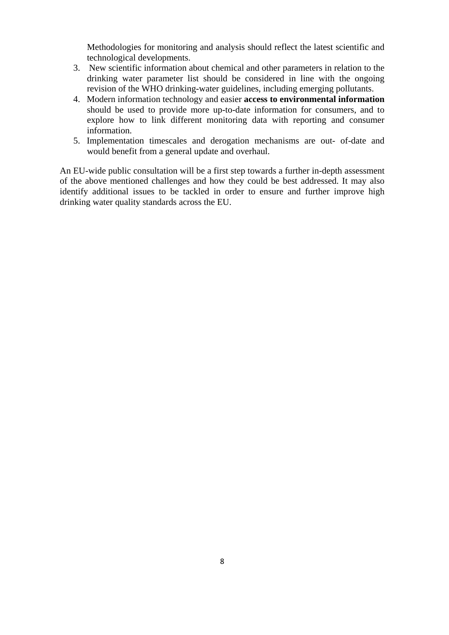Methodologies for monitoring and analysis should reflect the latest scientific and technological developments.

- 3. New scientific information about chemical and other parameters in relation to the drinking water parameter list should be considered in line with the ongoing revision of the WHO drinking-water guidelines, including emerging pollutants.
- 4. Modern information technology and easier **access to environmental information** should be used to provide more up-to-date information for consumers, and to explore how to link different monitoring data with reporting and consumer information.
- 5. Implementation timescales and derogation mechanisms are out- of-date and would benefit from a general update and overhaul.

An EU-wide public consultation will be a first step towards a further in-depth assessment of the above mentioned challenges and how they could be best addressed. It may also identify additional issues to be tackled in order to ensure and further improve high drinking water quality standards across the EU.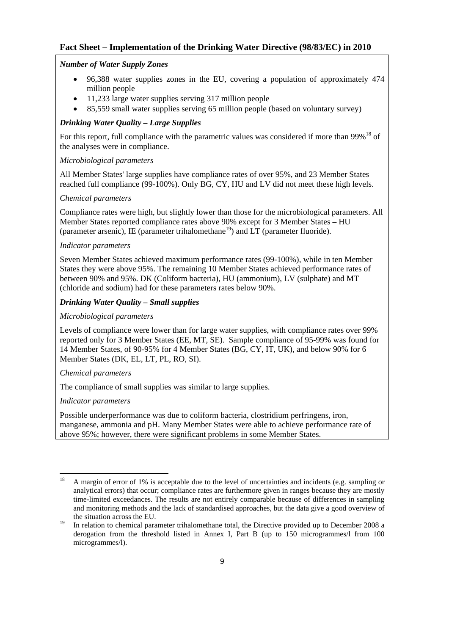## **Fact Sheet – Implementation of the Drinking Water Directive (98/83/EC) in 2010**

### *Number of Water Supply Zones*

- 96,388 water supplies zones in the EU, covering a population of approximately 474 million people
- 11,233 large water supplies serving 317 million people
- 85,559 small water supplies serving 65 million people (based on voluntary survey)

### *Drinking Water Quality – Large Supplies*

For this report, full compliance with the parametric values was considered if more than  $99\%$ <sup>18</sup> of the analyses were in compliance.

### *Microbiological parameters*

All Member States' large supplies have compliance rates of over 95%, and 23 Member States reached full compliance (99-100%). Only BG, CY, HU and LV did not meet these high levels.

#### *Chemical parameters*

Compliance rates were high, but slightly lower than those for the microbiological parameters. All Member States reported compliance rates above 90% except for 3 Member States – HU (parameter arsenic), IE (parameter trihalomethane<sup>19</sup>) and  $LT$  (parameter fluoride).

### *Indicator parameters*

Seven Member States achieved maximum performance rates (99-100%), while in ten Member States they were above 95%. The remaining 10 Member States achieved performance rates of between 90% and 95%. DK (Coliform bacteria), HU (ammonium), LV (sulphate) and MT (chloride and sodium) had for these parameters rates below 90%.

### *Drinking Water Quality – Small supplies*

#### *Microbiological parameters*

Levels of compliance were lower than for large water supplies, with compliance rates over 99% reported only for 3 Member States (EE, MT, SE). Sample compliance of 95-99% was found for 14 Member States, of 90-95% for 4 Member States (BG, CY, IT, UK), and below 90% for 6 Member States (DK, EL, LT, PL, RO, SI).

### *Chemical parameters*

The compliance of small supplies was similar to large supplies.

### *Indicator parameters*

Possible underperformance was due to coliform bacteria, clostridium perfringens, iron, manganese, ammonia and pH. Many Member States were able to achieve performance rate of above 95%; however, there were significant problems in some Member States.

<sup>18</sup> 18 A margin of error of 1% is acceptable due to the level of uncertainties and incidents (e.g. sampling or analytical errors) that occur; compliance rates are furthermore given in ranges because they are mostly time-limited exceedances. The results are not entirely comparable because of differences in sampling and monitoring methods and the lack of standardised approaches, but the data give a good overview of the situation across the EU.

<sup>&</sup>lt;sup>19</sup> In relation to chemical parameter trihalomethane total, the Directive provided up to December 2008 a derogation from the threshold listed in Annex I, Part B (up to 150 microgrammes/l from 100 microgrammes/l).